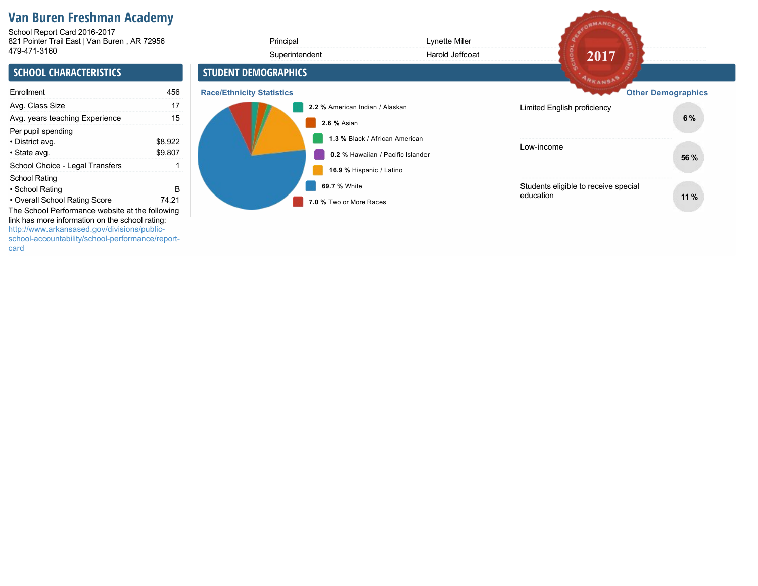# **Van Buren Freshman Academy**

821 Pointer Trail East | Van Buren , AR 72956 4794713160 School Report Card 2016-2017

| 821 Pointer Trail East   Van Buren, AR 72956<br>479-471-3160                                                                                                                                                                                                               |                    | Principal                               | Lynette Miller                    |                                                   |                           |
|----------------------------------------------------------------------------------------------------------------------------------------------------------------------------------------------------------------------------------------------------------------------------|--------------------|-----------------------------------------|-----------------------------------|---------------------------------------------------|---------------------------|
|                                                                                                                                                                                                                                                                            |                    | Superintendent                          | Harold Jeffcoat                   | 2017                                              |                           |
| <b>SCHOOL CHARACTERISTICS</b>                                                                                                                                                                                                                                              |                    | <b>STUDENT DEMOGRAPHICS</b>             |                                   | ARKANSAS                                          |                           |
| Enrollment                                                                                                                                                                                                                                                                 | 456                | <b>Race/Ethnicity Statistics</b>        |                                   |                                                   | <b>Other Demographics</b> |
| Avg. Class Size                                                                                                                                                                                                                                                            | 17                 | 2.2 % American Indian / Alaskan         |                                   | Limited English proficiency                       |                           |
| Avg. years teaching Experience                                                                                                                                                                                                                                             | 15                 | 2.6 % Asian                             |                                   |                                                   | 6%                        |
| Per pupil spending<br>• District avg.<br>• State avg.                                                                                                                                                                                                                      | \$8,922<br>\$9,807 | 1.3 % Black / African American          | 0.2 % Hawaiian / Pacific Islander | Low-income                                        | 56 %                      |
| School Choice - Legal Transfers                                                                                                                                                                                                                                            |                    | 16.9 % Hispanic / Latino                |                                   |                                                   |                           |
| School Rating<br>• School Rating<br>• Overall School Rating Score<br>The School Performance website at the following<br>link has more information on the school rating:<br>http://www.arkansased.gov/divisions/public-<br>school-accountability/school-performance/report- | B<br>74.21         | 69.7 % White<br>7.0 % Two or More Races |                                   | Students eligible to receive special<br>education | 11%                       |

REDRMANCE RE

card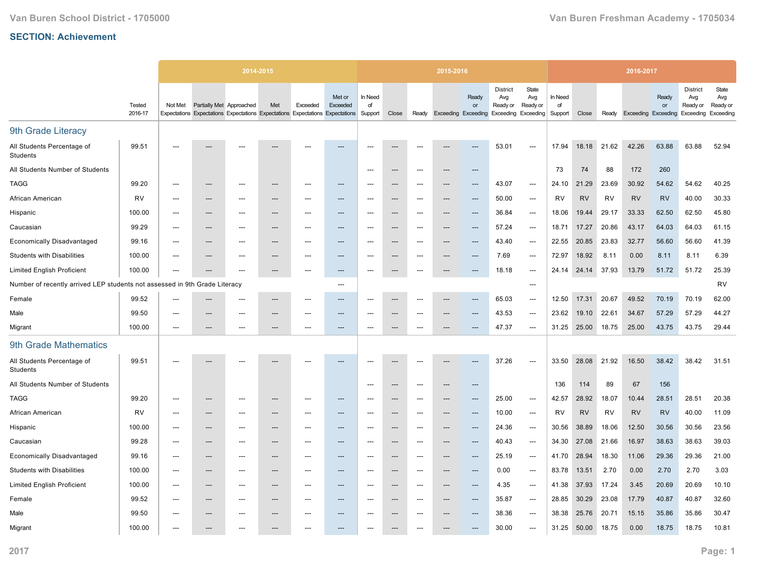|                                                                            |                   | 2014-2015                |                          |                                                                               | 2015-2016                |          |                                   |                          |                          |       | 2016-2017 |                                           |                                                                  |                          |                          |           |           |                            |             |                                                 |                                       |
|----------------------------------------------------------------------------|-------------------|--------------------------|--------------------------|-------------------------------------------------------------------------------|--------------------------|----------|-----------------------------------|--------------------------|--------------------------|-------|-----------|-------------------------------------------|------------------------------------------------------------------|--------------------------|--------------------------|-----------|-----------|----------------------------|-------------|-------------------------------------------------|---------------------------------------|
|                                                                            | Tested<br>2016-17 | Not Met                  | Partially Met Approached | Expectations Expectations Expectations Expectations Expectations Expectations | Met                      | Exceeded | Met or<br>Exceeded                | In Need<br>of<br>Support | Close                    | Ready |           | Ready<br>or<br><b>Exceeding Exceeding</b> | <b>District</b><br>Avg<br>Ready or<br><b>Exceeding Exceeding</b> | State<br>Avg<br>Ready or | In Need<br>of<br>Support | Close     | Ready     | <b>Exceeding Exceeding</b> | Ready<br>or | <b>District</b><br>Avg<br>Ready or<br>Exceeding | State<br>Avg<br>Ready or<br>Exceeding |
| 9th Grade Literacy                                                         |                   |                          |                          |                                                                               |                          |          |                                   |                          |                          |       |           |                                           |                                                                  |                          |                          |           |           |                            |             |                                                 |                                       |
| All Students Percentage of<br>Students                                     | 99.51             |                          |                          |                                                                               |                          |          |                                   |                          |                          |       |           |                                           | 53.01                                                            | $---$                    | 17.94                    | 18.18     | 21.62     | 42.26                      | 63.88       | 63.88                                           | 52.94                                 |
| All Students Number of Students                                            |                   |                          |                          |                                                                               |                          |          |                                   | $\overline{\phantom{a}}$ | $\overline{\phantom{a}}$ | ---   |           | ---                                       |                                                                  |                          | 73                       | 74        | 88        | 172                        | 260         |                                                 |                                       |
| <b>TAGG</b>                                                                | 99.20             |                          | --                       |                                                                               | ---                      |          | ---                               |                          |                          | ---   |           | ---                                       | 43.07                                                            | $\hspace{0.05cm} \ldots$ | 24.10                    | 21.29     | 23.69     | 30.92                      | 54.62       | 54.62                                           | 40.25                                 |
| African American                                                           | <b>RV</b>         |                          | ---                      | ---                                                                           | ---                      |          | ---                               | $\overline{\phantom{a}}$ | ---                      | ---   | ---       | $---$                                     | 50.00                                                            | $\hspace{0.05cm} \ldots$ | <b>RV</b>                | <b>RV</b> | <b>RV</b> | <b>RV</b>                  | <b>RV</b>   | 40.00                                           | 30.33                                 |
| Hispanic                                                                   | 100.00            | $\overline{a}$           | ---                      | ---                                                                           | ---                      |          | ---                               | $\overline{\phantom{a}}$ |                          | ---   |           | ---                                       | 36.84                                                            | $\hspace{0.05cm} \ldots$ | 18.06                    | 19.44     | 29.17     | 33.33                      | 62.50       | 62.50                                           | 45.80                                 |
| Caucasian                                                                  | 99.29             | $\hspace{0.05cm} \cdots$ | ---                      | ---                                                                           | $\hspace{0.05cm} \ldots$ | ---      | $\hspace{0.05cm} \dashrightarrow$ | ---                      | $---$                    | ---   | ---       | ---                                       | 57.24                                                            | ---                      | 18.71                    | 17.27     | 20.86     | 43.17                      | 64.03       | 64.03                                           | 61.15                                 |
| <b>Economically Disadvantaged</b>                                          | 99.16             | ---                      | ---                      | ---                                                                           | ---                      | ---      | ---                               | ---                      |                          | ---   | ---       | $---$                                     | 43.40                                                            | $\hspace{0.05cm} \ldots$ | 22.55                    | 20.85     | 23.83     | 32.77                      | 56.60       | 56.60                                           | 41.39                                 |
| <b>Students with Disabilities</b>                                          | 100.00            | ---                      | ---                      | ---                                                                           | ---                      | ---      | $\hspace{0.05cm} \dashrightarrow$ | ---                      | $---$                    | ---   | ---       | $---$                                     | 7.69                                                             | $\hspace{0.05cm} \ldots$ | 72.97                    | 18.92     | 8.11      | 0.00                       | 8.11        | 8.11                                            | 6.39                                  |
| <b>Limited English Proficient</b>                                          | 100.00            | ---                      | ---                      | ---                                                                           | ---                      | ---      | $\hspace{0.05cm} \dashrightarrow$ | ---                      | ---                      | $---$ | ---       | $---$                                     | 18.18                                                            | $---$                    | 24.14                    | 24.14     | 37.93     | 13.79                      | 51.72       | 51.72                                           | 25.39                                 |
| Number of recently arrived LEP students not assessed in 9th Grade Literacy |                   |                          |                          |                                                                               |                          |          | $---$                             |                          |                          |       |           |                                           |                                                                  | $---$                    |                          |           |           |                            |             |                                                 | <b>RV</b>                             |
| Female                                                                     | 99.52             | $\overline{\phantom{a}}$ | ---                      | ---                                                                           | ---                      | ---      | $---$                             | $---$                    | $---$                    | $---$ | ---       | $\overline{\phantom{a}}$                  | 65.03                                                            | $\overline{\phantom{a}}$ | 12.50                    | 17.31     | 20.67     | 49.52                      | 70.19       | 70.19                                           | 62.00                                 |
| Male                                                                       | 99.50             | ---                      | ---                      | ---                                                                           | $---$                    | ---      | ---                               | ---                      | $---$                    | ---   | ---       | ---                                       | 43.53                                                            | $\overline{\phantom{a}}$ | 23.62                    | 19.10     | 22.61     | 34.67                      | 57.29       | 57.29                                           | 44.27                                 |
| Migrant                                                                    | 100.00            | $---$                    | ---                      | $---$                                                                         | $---$                    | ---      | $---$                             | $---$                    | ---                      | $---$ | ---       | ---                                       | 47.37                                                            | $\overline{\phantom{a}}$ | 31.25                    | 25.00     | 18.75     | 25.00                      | 43.75       | 43.75                                           | 29.44                                 |
| 9th Grade Mathematics                                                      |                   |                          |                          |                                                                               |                          |          |                                   |                          |                          |       |           |                                           |                                                                  |                          |                          |           |           |                            |             |                                                 |                                       |
| All Students Percentage of<br>Students                                     | 99.51             |                          |                          |                                                                               |                          |          |                                   |                          |                          |       |           |                                           | 37.26                                                            | $\hspace{0.05cm} \ldots$ | 33.50                    | 28.08     | 21.92     | 16.50                      | 38.42       | 38.42                                           | 31.51                                 |
| All Students Number of Students                                            |                   |                          |                          |                                                                               |                          |          |                                   | $---$                    | $---$                    | ---   | ---       | $---$                                     |                                                                  |                          | 136                      | 114       | 89        | 67                         | 156         |                                                 |                                       |
| <b>TAGG</b>                                                                | 99.20             | $---$                    | ---                      | ---                                                                           | $---$                    | ---      | $---$                             | $---$                    | $---$                    | $---$ | ---       | ---                                       | 25.00                                                            | $\overline{\phantom{a}}$ | 42.57                    | 28.92     | 18.07     | 10.44                      | 28.51       | 28.51                                           | 20.38                                 |
| African American                                                           | <b>RV</b>         | $---$                    | ---                      | ---                                                                           | $---$                    | ---      | $---$                             | $---$                    | $\overline{\phantom{a}}$ | ---   | ---       | ---                                       | 10.00                                                            | $---$                    | RV                       | <b>RV</b> | <b>RV</b> | <b>RV</b>                  | <b>RV</b>   | 40.00                                           | 11.09                                 |
| Hispanic                                                                   | 100.00            | $\overline{\phantom{a}}$ | ---                      | ---                                                                           | $---$                    | ---      | $---$                             | $\overline{\phantom{a}}$ | ---                      | ---   | ---       | $\overline{\phantom{a}}$                  | 24.36                                                            | $---$                    | 30.56                    | 38.89     | 18.06     | 12.50                      | 30.56       | 30.56                                           | 23.56                                 |
| Caucasian                                                                  | 99.28             | ---                      | ---                      | ---                                                                           | ---                      | ---      | $---$                             | $---$                    | $---$                    | ---   | ---       | ---                                       | 40.43                                                            | $---$                    | 34.30                    | 27.08     | 21.66     | 16.97                      | 38.63       | 38.63                                           | 39.03                                 |
| <b>Economically Disadvantaged</b>                                          | 99.16             | ---                      | ---                      | ---                                                                           | ---                      | ---      | $\hspace{0.05cm} \ldots$          | ---                      |                          | ---   | ---       | ---                                       | 25.19                                                            | ---                      | 41.70                    | 28.94     | 18.30     | 11.06                      | 29.36       | 29.36                                           | 21.00                                 |
| <b>Students with Disabilities</b>                                          | 100.00            | ---                      | ---                      | ---                                                                           | ---                      |          | ---                               | ---                      |                          | ---   | ---       | ---                                       | 0.00                                                             | ---                      | 83.78                    | 13.51     | 2.70      | 0.00                       | 2.70        | 2.70                                            | 3.03                                  |
| <b>Limited English Proficient</b>                                          | 100.00            | $\overline{a}$           | ---                      | ---                                                                           | ---                      |          | $---$                             | $\overline{\phantom{a}}$ |                          | ---   | ---       | $---$                                     | 4.35                                                             | $\hspace{0.05cm} \ldots$ | 41.38                    | 37.93     | 17.24     | 3.45                       | 20.69       | 20.69                                           | 10.10                                 |
| Female                                                                     | 99.52             | $\overline{\phantom{a}}$ | ---                      | ---                                                                           | ---                      | ---      | $---$                             | $\overline{\phantom{a}}$ | $\overline{\phantom{a}}$ | ---   | ---       | ---                                       | 35.87                                                            | $\hspace{0.05cm} \ldots$ | 28.85                    | 30.29     | 23.08     | 17.79                      | 40.87       | 40.87                                           | 32.60                                 |
| Male                                                                       | 99.50             |                          |                          |                                                                               | ---                      |          | ---                               |                          |                          | ---   |           | ---                                       | 38.36                                                            | $---$                    | 38.38                    | 25.76     | 20.71     | 15.15                      | 35.86       | 35.86                                           | 30.47                                 |
| Migrant                                                                    | 100.00            |                          |                          | ---                                                                           |                          |          | ---                               |                          |                          | ---   |           | ---                                       | 30.00                                                            | $\hspace{0.05cm} \ldots$ | 31.25                    | 50.00     | 18.75     | 0.00                       | 18.75       | 18.75                                           | 10.81                                 |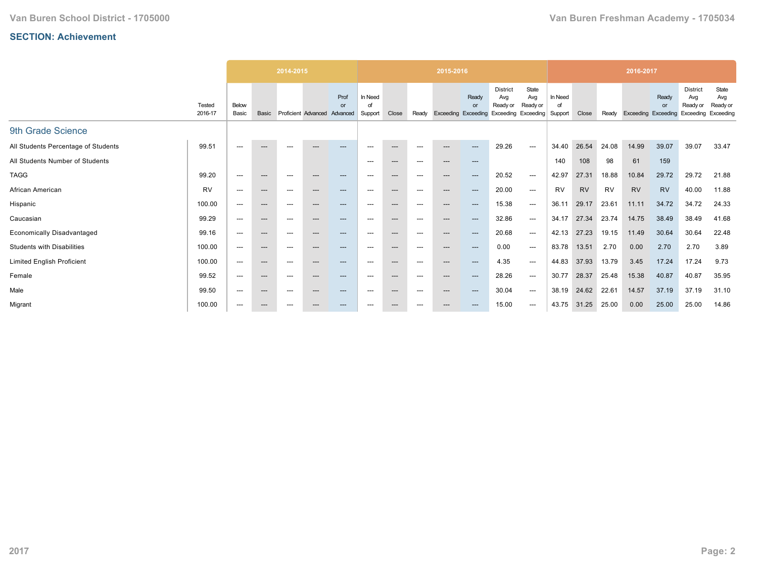|                                     |                   |                          | 2014-2015              |                          |                              | 2015-2016  |                          |       |                          |                            | 2016-2017   |                                                    |                          |                          |           |           |                            |             |                                                 |                                       |
|-------------------------------------|-------------------|--------------------------|------------------------|--------------------------|------------------------------|------------|--------------------------|-------|--------------------------|----------------------------|-------------|----------------------------------------------------|--------------------------|--------------------------|-----------|-----------|----------------------------|-------------|-------------------------------------------------|---------------------------------------|
|                                     | Tested<br>2016-17 | Below<br>Basic           | Basic                  |                          | Proficient Advanced Advanced | Prof<br>or | In Need<br>∩f<br>Support | Close | Ready                    | <b>Exceeding Exceeding</b> | Ready<br>or | District<br>Avg<br>Ready or<br>Exceeding Exceeding | State<br>Avg<br>Ready or | In Need<br>οf<br>Support | Close     | Ready     | <b>Exceeding Exceeding</b> | Ready<br>or | <b>District</b><br>Avg<br>Ready or<br>Exceeding | State<br>Avg<br>Ready or<br>Exceeding |
| 9th Grade Science                   |                   |                          |                        |                          |                              |            |                          |       |                          |                            |             |                                                    |                          |                          |           |           |                            |             |                                                 |                                       |
| All Students Percentage of Students | 99.51             | $---$                    | $---$                  | $---$                    | ---                          | ---        | ---                      | ---   | $---$                    | $---$                      | ---         | 29.26                                              | $---$                    | 34.40                    | 26.54     | 24.08     | 14.99                      | 39.07       | 39.07                                           | 33.47                                 |
| All Students Number of Students     |                   |                          |                        |                          |                              |            | $---$                    | $---$ | $---$                    | $---$                      | $---$       |                                                    |                          | 140                      | 108       | 98        | 61                         | 159         |                                                 |                                       |
| <b>TAGG</b>                         | 99.20             | $---$                    | $---$                  | $\hspace{0.05cm} \ldots$ | ---                          | $---$      | ---                      | $---$ | $\hspace{0.05cm} \ldots$ | $---$                      | $---$       | 20.52                                              | $---$                    | 42.97                    | 27.31     | 18.88     | 10.84                      | 29.72       | 29.72                                           | 21.88                                 |
| African American                    | <b>RV</b>         | $---$                    | $\qquad \qquad \cdots$ | ---                      | $---$                        | $---$      | ---                      | $---$ | $\hspace{0.05cm} \ldots$ | $---$                      | $---$       | 20.00                                              | $---$                    | <b>RV</b>                | <b>RV</b> | <b>RV</b> | <b>RV</b>                  | <b>RV</b>   | 40.00                                           | 11.88                                 |
| Hispanic                            | 100.00            | ---                      | $---$                  | ---                      | $---$                        | $---$      | ---                      | $---$ | $\hspace{0.05cm} \ldots$ | $---$                      | $---$       | 15.38                                              | $---$                    | 36.11                    | 29.17     | 23.61     | 11.11                      | 34.72       | 34.72                                           | 24.33                                 |
| Caucasian                           | 99.29             | $---$                    | $\qquad \qquad \cdots$ | $---$                    | ---                          | $---$      | ---                      | $---$ | $\hspace{0.05cm} \ldots$ | $---$                      | ---         | 32.86                                              | $---$                    | 34.17                    | 27.34     | 23.74     | 14.75                      | 38.49       | 38.49                                           | 41.68                                 |
| <b>Economically Disadvantaged</b>   | 99.16             | $---$                    | $---$                  | $---$                    | $---$                        | $---$      | $---$                    | $---$ | $---$                    | $---$                      | ---         | 20.68                                              | $---$                    | 42.13                    | 27.23     | 19.15     | 11.49                      | 30.64       | 30.64                                           | 22.48                                 |
| <b>Students with Disabilities</b>   | 100.00            | $---$                    | $---$                  | ---                      | $---$                        | $---$      | ---                      | $---$ | $\hspace{0.05cm} \ldots$ | $---$                      | $---$       | 0.00                                               | $---$                    | 83.78                    | 13.51     | 2.70      | 0.00                       | 2.70        | 2.70                                            | 3.89                                  |
| Limited English Proficient          | 100.00            | $---$                    | $\qquad \qquad \cdots$ | ---                      | $---$                        | $---$      | ---                      | $---$ | $\hspace{0.05cm} \ldots$ | $---$                      | $---$       | 4.35                                               | $---$                    | 44.83                    | 37.93     | 13.79     | 3.45                       | 17.24       | 17.24                                           | 9.73                                  |
| Female                              | 99.52             | $---$                    | $---$                  | ---                      | $---$                        | ---        | ---                      | $---$ | $\hspace{0.05cm} \ldots$ | $---$                      | ---         | 28.26                                              | $---$                    | 30.77                    | 28.37     | 25.48     | 15.38                      | 40.87       | 40.87                                           | 35.95                                 |
| Male                                | 99.50             | $\hspace{0.05cm} \ldots$ | $\qquad \qquad \cdots$ | ---                      | ---                          | ---        | $\hspace{0.05cm} \ldots$ | $---$ | $\hspace{0.05cm} \ldots$ | ---                        |             | 30.04                                              | $\hspace{0.05cm} \ldots$ | 38.19                    | 24.62     | 22.61     | 14.57                      | 37.19       | 37.19                                           | 31.10                                 |
| Migrant                             | 100.00            | ---                      | $\qquad \qquad \cdots$ | ---                      | ---                          | ---        | ---                      | ---   | $---$                    |                            |             | 15.00                                              | $---$                    | 43.75                    | 31.25     | 25.00     | 0.00                       | 25.00       | 25.00                                           | 14.86                                 |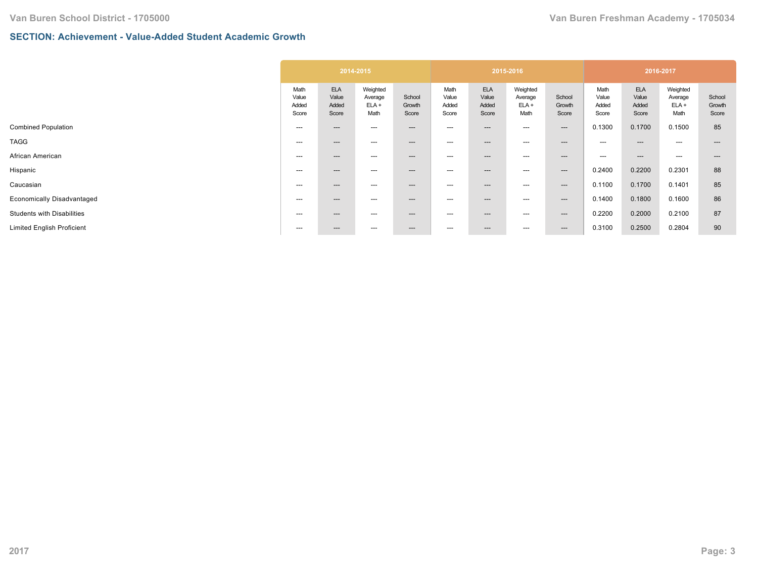#### **SECTION: Achievement - Value-Added Student Academic Growth**

|                                   | 2014-2015                       |                                       |                                        |                           | 2015-2016                       |                                       |                                        |                           | 2016-2017                       |                                       |                                        |                           |
|-----------------------------------|---------------------------------|---------------------------------------|----------------------------------------|---------------------------|---------------------------------|---------------------------------------|----------------------------------------|---------------------------|---------------------------------|---------------------------------------|----------------------------------------|---------------------------|
|                                   | Math<br>Value<br>Added<br>Score | <b>ELA</b><br>Value<br>Added<br>Score | Weighted<br>Average<br>$ELA +$<br>Math | School<br>Growth<br>Score | Math<br>Value<br>Added<br>Score | <b>ELA</b><br>Value<br>Added<br>Score | Weighted<br>Average<br>$ELA +$<br>Math | School<br>Growth<br>Score | Math<br>Value<br>Added<br>Score | <b>ELA</b><br>Value<br>Added<br>Score | Weighted<br>Average<br>$ELA +$<br>Math | School<br>Growth<br>Score |
| <b>Combined Population</b>        | ---                             | $---$                                 | ---                                    | $---$                     | $---$                           | $---$                                 | ---                                    | $---$                     | 0.1300                          | 0.1700                                | 0.1500                                 | 85                        |
| <b>TAGG</b>                       | ---                             | $---$                                 | ---                                    | $\qquad \qquad \cdots$    | $--$                            | ---                                   | ---                                    | $---$                     | $\hspace{0.05cm} \ldots$        | ---                                   | ---                                    | ---                       |
| African American                  | ---                             | $---$                                 | ---                                    | $\qquad \qquad \cdots$    | $--$                            | ---                                   | $---$                                  | $\qquad \qquad \cdots$    | $---$                           | $---$                                 | $---$                                  | ---                       |
| Hispanic                          | ---                             | $---$                                 | ---                                    | $---$                     | $---$                           | ---                                   | ---                                    | $---$                     | 0.2400                          | 0.2200                                | 0.2301                                 | 88                        |
| Caucasian                         | ---                             | $---$                                 | ---                                    | $\qquad \qquad \cdots$    | $--$                            | ---                                   | ---                                    | $---$                     | 0.1100                          | 0.1700                                | 0.1401                                 | 85                        |
| <b>Economically Disadvantaged</b> | $---$                           | $---$                                 | ---                                    | $\qquad \qquad \cdots$    | $--$                            | ---                                   | ---                                    | $---$                     | 0.1400                          | 0.1800                                | 0.1600                                 | 86                        |
| <b>Students with Disabilities</b> | ---                             | $---$                                 | ---                                    | $---$                     | $--$                            | ---                                   | ---                                    | $---$                     | 0.2200                          | 0.2000                                | 0.2100                                 | 87                        |
| <b>Limited English Proficient</b> | ---                             | $---$                                 | $\hspace{0.05cm} \ldots$               | $\hspace{0.05cm} \cdots$  | $--$                            | ---                                   | ---                                    | $---$                     | 0.3100                          | 0.2500                                | 0.2804                                 | 90                        |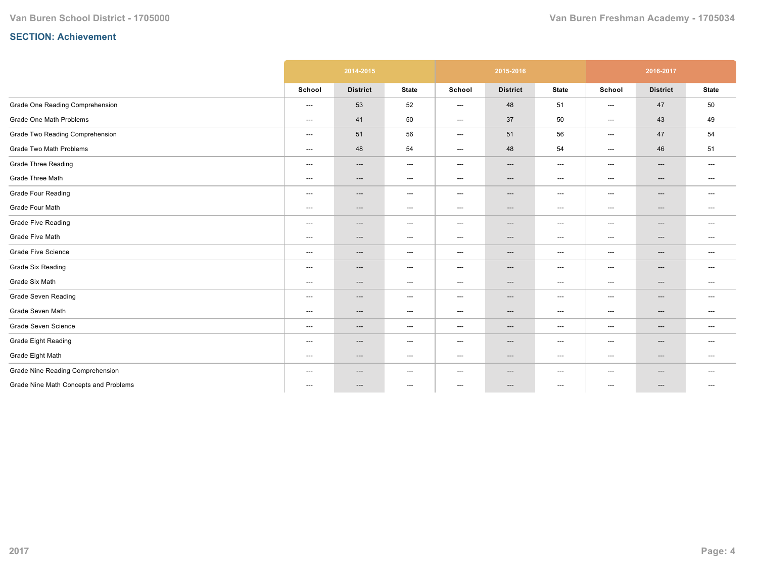|                                       | 2014-2015                         |                 |                                   |                          | 2015-2016                         |                                   | 2016-2017                                |                          |                                   |  |
|---------------------------------------|-----------------------------------|-----------------|-----------------------------------|--------------------------|-----------------------------------|-----------------------------------|------------------------------------------|--------------------------|-----------------------------------|--|
|                                       | School                            | <b>District</b> | <b>State</b>                      | School                   | <b>District</b>                   | <b>State</b>                      | School                                   | <b>District</b>          | <b>State</b>                      |  |
| Grade One Reading Comprehension       | ---                               | 53              | 52                                | $---$                    | 48                                | 51                                | ---                                      | 47                       | 50                                |  |
| Grade One Math Problems               | $\hspace{0.05cm} \dashrightarrow$ | 41              | 50                                | ---                      | 37                                | 50                                | ---                                      | 43                       | 49                                |  |
| Grade Two Reading Comprehension       | $---$                             | 51              | 56                                | ---                      | 51                                | 56                                | ---                                      | 47                       | 54                                |  |
| Grade Two Math Problems               | $\hspace{0.05cm} \ldots$          | 48              | 54                                | ---                      | 48                                | 54                                | $---$                                    | 46                       | 51                                |  |
| <b>Grade Three Reading</b>            | $\hspace{0.05cm} \ldots$          | $---$           | $\hspace{0.05cm} \ldots$          | $\hspace{0.05cm} \ldots$ | $---$                             | $\hspace{0.05cm} \ldots$          | $\hspace{0.05cm} \ldots \hspace{0.05cm}$ | $\qquad \qquad \cdots$   | $\hspace{0.05cm} \ldots$          |  |
| Grade Three Math                      | ---                               | ---             | $\hspace{0.05cm} \dashrightarrow$ | ---                      | $\hspace{0.05cm} \dashrightarrow$ | $\hspace{0.05cm} \dashrightarrow$ | ---                                      | $\qquad \qquad \cdots$   | $--$                              |  |
| <b>Grade Four Reading</b>             | ---                               | ---             | $\hspace{0.05cm} \dashrightarrow$ | $---$                    | ---                               | $\hspace{0.05cm} \ldots$          | ---                                      | ---                      | $---$                             |  |
| Grade Four Math                       | $\hspace{0.05cm} \dashrightarrow$ | ---             | $\hspace{0.05cm} \dashrightarrow$ | ---                      | ---                               | $\hspace{0.05cm} \dashrightarrow$ | ---                                      | ---                      | $---$                             |  |
| <b>Grade Five Reading</b>             | $---$                             | $---$           | $\hspace{0.05cm} \dashrightarrow$ | ---                      | $\hspace{0.05cm} \ldots$          | $---$                             | ---                                      | $\hspace{0.05cm} \ldots$ | $---$                             |  |
| Grade Five Math                       | $\hspace{0.05cm} \dashrightarrow$ | ---             | $\hspace{0.05cm} \ldots$          | ---                      | ---                               | $---$                             | $---$                                    | ---                      | $---$                             |  |
| <b>Grade Five Science</b>             | $\qquad \qquad \cdots$            | ---             | $\hspace{0.05cm} \ldots$          | ---                      | ---                               | $---$                             | ---                                      | $\hspace{0.05cm} \ldots$ | $\hspace{0.05cm} \ldots$          |  |
| <b>Grade Six Reading</b>              | $\hspace{0.05cm} \ldots$          | ---             | $\hspace{0.05cm} \ldots$          | ---                      | $---$                             | $---$                             | ---                                      | $\qquad \qquad \cdots$   | $---$                             |  |
| Grade Six Math                        | $\hspace{0.05cm} \dashrightarrow$ | ---             | $\hspace{0.05cm} \dashrightarrow$ | ---                      | ---                               | $---$                             | ---                                      | ---                      | $\hspace{0.05cm} \dashrightarrow$ |  |
| <b>Grade Seven Reading</b>            | $\qquad \qquad \cdots$            | $---$           | $\hspace{0.05cm} \ldots$          | ---                      | ---                               | $---$                             | ---                                      | $\hspace{0.05cm} \ldots$ | $---$                             |  |
| Grade Seven Math                      | ---                               | $---$           | $\hspace{0.05cm} \dashrightarrow$ | ---                      | $---$                             | $\hspace{0.05cm} \dashrightarrow$ | ---                                      | $\qquad \qquad \cdots$   | $---$                             |  |
| Grade Seven Science                   | $\hspace{0.05cm} \ldots$          | ---             | $\hspace{0.05cm} \ldots$          | ---                      | ---                               | $---$                             | ---                                      | $\hspace{0.05cm} \ldots$ | $\hspace{0.05cm} \ldots$          |  |
| Grade Eight Reading                   | $\hspace{0.05cm} \ldots$          | ---             | $\hspace{0.05cm} \ldots$          | $---$                    | ---                               | $---$                             | $---$                                    | ---                      | $---$                             |  |
| Grade Eight Math                      | $---$                             | $---$           | $\hspace{0.05cm} \ldots$          | ---                      | $\hspace{0.05cm} \ldots$          | $---$                             | ---                                      | $---$                    | $---$                             |  |
| Grade Nine Reading Comprehension      | $\hspace{0.05cm} \ldots$          | ---             | $---$                             | ---                      | $\hspace{0.05cm} \ldots$          | $---$                             | ---                                      | $\hspace{0.05cm} \ldots$ | $---$                             |  |
| Grade Nine Math Concepts and Problems | ---                               | ---             | $\hspace{0.05cm} \ldots$          | $\hspace{0.05cm} \ldots$ | ---                               | $\hspace{0.05cm} \ldots$          | ---                                      | ---                      | $---$                             |  |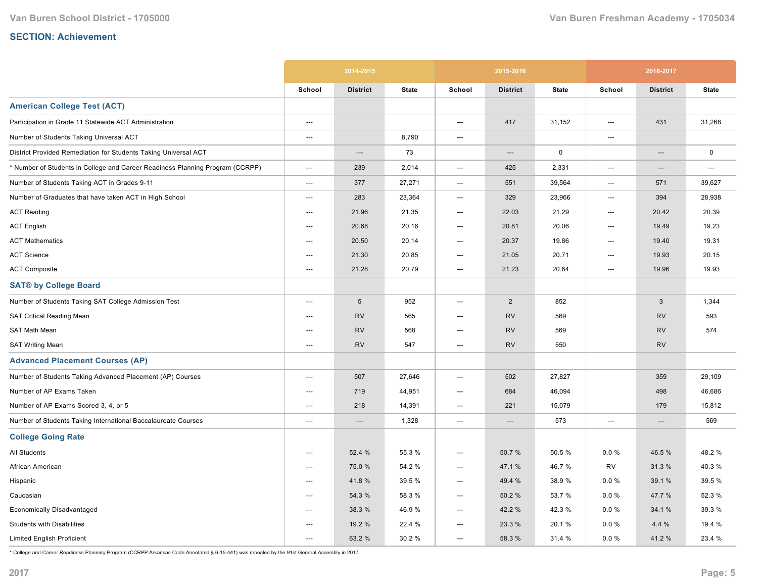|                                                                               | 2014-2015                |                 |              |                                   | 2015-2016       |              | 2016-2017 |                 |              |
|-------------------------------------------------------------------------------|--------------------------|-----------------|--------------|-----------------------------------|-----------------|--------------|-----------|-----------------|--------------|
|                                                                               | School                   | <b>District</b> | <b>State</b> | School                            | <b>District</b> | <b>State</b> | School    | <b>District</b> | <b>State</b> |
| <b>American College Test (ACT)</b>                                            |                          |                 |              |                                   |                 |              |           |                 |              |
| Participation in Grade 11 Statewide ACT Administration                        | ---                      |                 |              | ---                               | 417             | 31,152       | ---       | 431             | 31,268       |
| Number of Students Taking Universal ACT                                       | $\hspace{0.05cm} \ldots$ |                 | 8,790        | ---                               |                 |              | ---       |                 |              |
| District Provided Remediation for Students Taking Universal ACT               |                          | ---             | 73           |                                   | ---             | 0            |           | ---             | $\pmb{0}$    |
| * Number of Students in College and Career Readiness Planning Program (CCRPP) | ---                      | 239             | 2,014        | $\hspace{0.05cm} \dashrightarrow$ | 425             | 2,331        | ---       | ---             | ---          |
| Number of Students Taking ACT in Grades 9-11                                  | ---                      | 377             | 27,271       | ---                               | 551             | 39,564       | ---       | 571             | 39,627       |
| Number of Graduates that have taken ACT in High School                        | $\overline{\phantom{a}}$ | 283             | 23,364       | ---                               | 329             | 23,966       | ---       | 394             | 28,938       |
| <b>ACT Reading</b>                                                            | $---$                    | 21.96           | 21.35        | ---                               | 22.03           | 21.29        | ---       | 20.42           | 20.39        |
| <b>ACT English</b>                                                            | $---$                    | 20.68           | 20.16        | ---                               | 20.81           | 20.06        | ---       | 19.49           | 19.23        |
| <b>ACT Mathematics</b>                                                        | ---                      | 20.50           | 20.14        | ---                               | 20.37           | 19.86        | ---       | 19.40           | 19.31        |
| <b>ACT Science</b>                                                            | ---                      | 21.30           | 20.85        | ---                               | 21.05           | 20.71        | ---       | 19.93           | 20.15        |
| <b>ACT Composite</b>                                                          | $---$                    | 21.28           | 20.79        | ---                               | 21.23           | 20.64        | ---       | 19.96           | 19.93        |
| <b>SAT® by College Board</b>                                                  |                          |                 |              |                                   |                 |              |           |                 |              |
| Number of Students Taking SAT College Admission Test                          | $\overline{\phantom{a}}$ | $5\phantom{.0}$ | 952          | ---                               | $\overline{2}$  | 852          |           | 3               | 1,344        |
| <b>SAT Critical Reading Mean</b>                                              | $---$                    | <b>RV</b>       | 565          | $---$                             | <b>RV</b>       | 569          |           | <b>RV</b>       | 593          |
| SAT Math Mean                                                                 | $---$                    | <b>RV</b>       | 568          | $---$                             | <b>RV</b>       | 569          |           | <b>RV</b>       | 574          |
| <b>SAT Writing Mean</b>                                                       | $\hspace{0.05cm} \ldots$ | <b>RV</b>       | 547          | $\overline{\phantom{a}}$          | <b>RV</b>       | 550          |           | <b>RV</b>       |              |
| <b>Advanced Placement Courses (AP)</b>                                        |                          |                 |              |                                   |                 |              |           |                 |              |
| Number of Students Taking Advanced Placement (AP) Courses                     | $\hspace{0.05cm} \ldots$ | 507             | 27,646       | ---                               | 502             | 27,827       |           | 359             | 29,109       |
| Number of AP Exams Taken                                                      | ---                      | 719             | 44,951       | ---                               | 684             | 46,094       |           | 498             | 46,686       |
| Number of AP Exams Scored 3, 4, or 5                                          | ---                      | 218             | 14,391       | ---                               | 221             | 15,079       |           | 179             | 15,812       |
| Number of Students Taking International Baccalaureate Courses                 | $\hspace{0.05cm} \ldots$ | ---             | 1,328        | $\hspace{0.05cm} \cdots$          | ---             | 573          | ---       | ---             | 569          |
| <b>College Going Rate</b>                                                     |                          |                 |              |                                   |                 |              |           |                 |              |
| All Students                                                                  | $---$                    | 52.4 %          | 55.3 %       | ---                               | 50.7%           | 50.5 %       | $0.0 \%$  | 46.5%           | 48.2%        |
| African American                                                              | $\overline{\phantom{a}}$ | 75.0 %          | 54.2 %       | ---                               | 47.1 %          | 46.7%        | <b>RV</b> | 31.3%           | 40.3%        |
| Hispanic                                                                      | $---$                    | 41.8%           | 39.5 %       | $---$                             | 49.4 %          | 38.9 %       | 0.0%      | 39.1 %          | 39.5 %       |
| Caucasian                                                                     | $---$                    | 54.3 %          | 58.3%        | $\hspace{0.05cm} \ldots$          | 50.2%           | 53.7 %       | $0.0 \%$  | 47.7 %          | 52.3 %       |
| Economically Disadvantaged                                                    | ---                      | 38.3 %          | 46.9%        | ---                               | 42.2 %          | 42.3%        | $0.0 \%$  | 34.1 %          | 39.3 %       |
| <b>Students with Disabilities</b>                                             | ---                      | 19.2 %          | 22.4 %       | ---                               | 23.3 %          | 20.1%        | $0.0 \%$  | 4.4 %           | 19.4 %       |
| <b>Limited English Proficient</b>                                             | ---                      | 63.2 %          | 30.2%        | ---                               | 58.3 %          | 31.4 %       | $0.0 \%$  | 41.2%           | 23.4 %       |

\* College and Career Readiness Planning Program (CCRPP Arkansas Code Annotated § 615441) was repealed by the 91st General Assembly in 2017.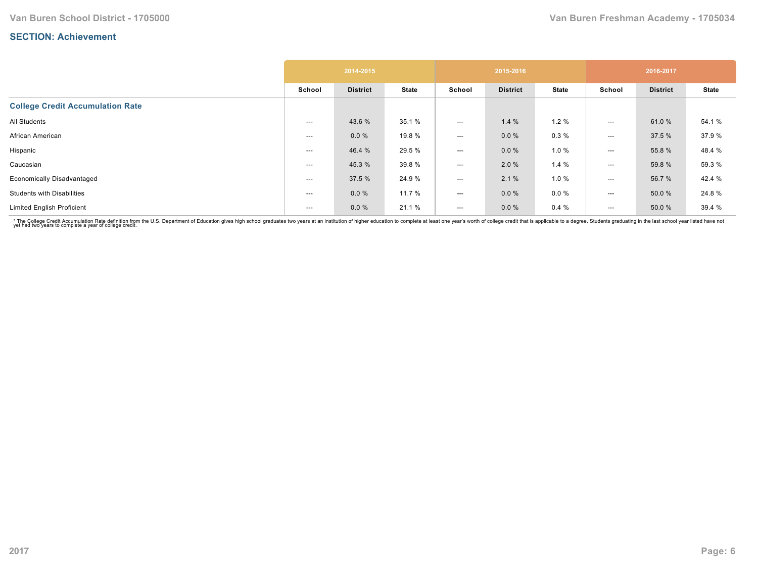|                                         | 2014-2015 |                 |              |        | 2015-2016       |              | 2016-2017 |                 |              |
|-----------------------------------------|-----------|-----------------|--------------|--------|-----------------|--------------|-----------|-----------------|--------------|
|                                         | School    | <b>District</b> | <b>State</b> | School | <b>District</b> | <b>State</b> | School    | <b>District</b> | <b>State</b> |
| <b>College Credit Accumulation Rate</b> |           |                 |              |        |                 |              |           |                 |              |
| All Students                            | ---       | 43.6 %          | 35.1 %       | ---    | 1.4%            | 1.2%         | ---       | 61.0%           | 54.1 %       |
| African American                        | $---$     | 0.0%            | 19.8 %       | ---    | $0.0 \%$        | 0.3%         | ---       | 37.5 %          | 37.9%        |
| Hispanic                                | ---       | 46.4 %          | 29.5 %       | ---    | $0.0 \%$        | 1.0%         | ---       | 55.8 %          | 48.4 %       |
| Caucasian                               | ---       | 45.3%           | 39.8 %       | ---    | 2.0 %           | 1.4%         | $---$     | 59.8 %          | 59.3 %       |
| <b>Economically Disadvantaged</b>       | ---       | 37.5 %          | 24.9%        | ---    | 2.1%            | 1.0%         | ---       | 56.7 %          | 42.4 %       |
| <b>Students with Disabilities</b>       | ---       | $0.0 \%$        | 11.7 %       | ---    | $0.0 \%$        | $0.0 \%$     | $---$     | 50.0 %          | 24.8%        |
| <b>Limited English Proficient</b>       | $---$     | $0.0 \%$        | 21.1 %       | ---    | $0.0 \%$        | 0.4%         | $---$     | 50.0 %          | 39.4 %       |

\* The College Credit Accumulation Rate definition from the U.S. Department of Education gives high school graduates two years at an institution of higher education to complete at least one year's worth of college credit th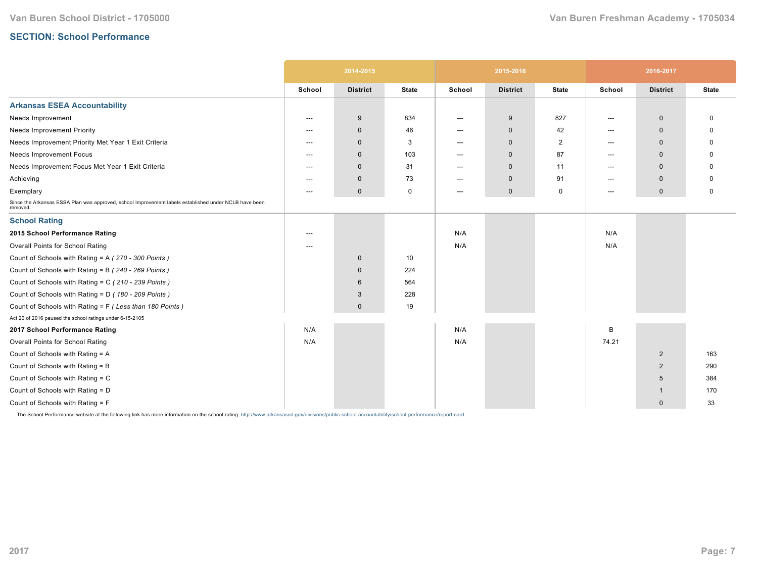#### **SECTION: School Performance**

|                                                                                                                   | 2014-2015 |                 |              |                          | 2015-2016       |                | 2016-2017 |                 |              |
|-------------------------------------------------------------------------------------------------------------------|-----------|-----------------|--------------|--------------------------|-----------------|----------------|-----------|-----------------|--------------|
|                                                                                                                   | School    | <b>District</b> | <b>State</b> | School                   | <b>District</b> | <b>State</b>   | School    | <b>District</b> | <b>State</b> |
| <b>Arkansas ESEA Accountability</b>                                                                               |           |                 |              |                          |                 |                |           |                 |              |
| Needs Improvement                                                                                                 | ---       | 9               | 834          | ---                      | 9               | 827            | ---       | $\mathbf 0$     | $\Omega$     |
| <b>Needs Improvement Priority</b>                                                                                 | ---       | $\mathbf 0$     | 46           | $---$                    | $\mathbf 0$     | 42             | $---$     | $\Omega$        | O            |
| Needs Improvement Priority Met Year 1 Exit Criteria                                                               | ---       | $\mathbf 0$     | 3            | $---$                    | $\mathbf{0}$    | $\overline{2}$ | $---$     | $\mathbf{0}$    | <sup>0</sup> |
| <b>Needs Improvement Focus</b>                                                                                    | ---       | $\mathbf 0$     | 103          | $---$                    | $\mathbf 0$     | 87             | ---       | $\mathbf 0$     | O            |
| Needs Improvement Focus Met Year 1 Exit Criteria                                                                  | ---       | $\mathbf{0}$    | 31           | $---$                    | $\mathbf 0$     | 11             | $---$     | $\mathbf 0$     |              |
| Achieving                                                                                                         | ---       | $\mathbf 0$     | 73           | $\hspace{0.05cm} \ldots$ | $\mathbf 0$     | 91             | $---$     | $\Omega$        | O            |
| Exemplary                                                                                                         | ---       | $\mathbf 0$     | 0            | $\hspace{0.05cm} \ldots$ | $\mathbf 0$     | 0              | ---       | $\mathbf 0$     | 0            |
| Since the Arkansas ESSA Plan was approved, school Improvement labels established under NCLB have been<br>removed. |           |                 |              |                          |                 |                |           |                 |              |
| <b>School Rating</b>                                                                                              |           |                 |              |                          |                 |                |           |                 |              |
| 2015 School Performance Rating                                                                                    |           |                 |              | N/A                      |                 |                | N/A       |                 |              |
| Overall Points for School Rating                                                                                  | ---       |                 |              | N/A                      |                 |                | N/A       |                 |              |
| Count of Schools with Rating = A (270 - 300 Points)                                                               |           | $\mathbf 0$     | 10           |                          |                 |                |           |                 |              |
| Count of Schools with Rating = B (240 - 269 Points)                                                               |           | $\mathbf 0$     | 224          |                          |                 |                |           |                 |              |
| Count of Schools with Rating = C (210 - 239 Points)                                                               |           | 6               | 564          |                          |                 |                |           |                 |              |
| Count of Schools with Rating = D (180 - 209 Points)                                                               |           | 3               | 228          |                          |                 |                |           |                 |              |
| Count of Schools with Rating = F (Less than 180 Points)                                                           |           | $\mathbf{0}$    | 19           |                          |                 |                |           |                 |              |
| Act 20 of 2016 paused the school ratings under 6-15-2105                                                          |           |                 |              |                          |                 |                |           |                 |              |
| 2017 School Performance Rating                                                                                    | N/A       |                 |              | N/A                      |                 |                | B         |                 |              |
| Overall Points for School Rating                                                                                  | N/A       |                 |              | N/A                      |                 |                | 74.21     |                 |              |
| Count of Schools with Rating = A                                                                                  |           |                 |              |                          |                 |                |           | $\overline{2}$  | 163          |
| Count of Schools with Rating = B                                                                                  |           |                 |              |                          |                 |                |           | $\overline{2}$  | 290          |
| Count of Schools with Rating = C                                                                                  |           |                 |              |                          |                 |                |           | 5               | 384          |
| Count of Schools with Rating = D                                                                                  |           |                 |              |                          |                 |                |           | -1              | 170          |
| Count of Schools with Rating = F                                                                                  |           |                 |              |                          |                 |                |           | $\mathbf{0}$    | 33           |

The School Performance website at the following link has more information on the school rating: http://www.arkansased.gov/divisions/public-school-accountability/school-performance/report-card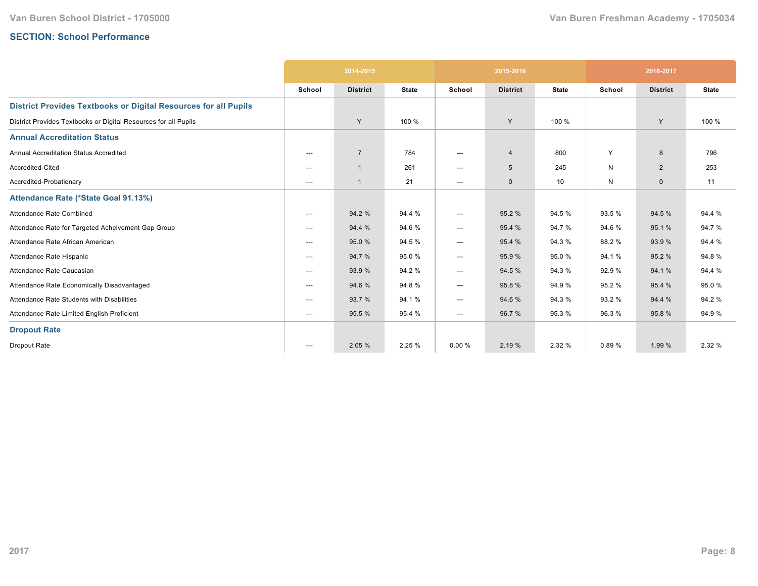# **SECTION: School Performance**

|                                                                        | 2014-2015                |                 |              |                          | 2015-2016       |              | 2016-2017 |                 |              |
|------------------------------------------------------------------------|--------------------------|-----------------|--------------|--------------------------|-----------------|--------------|-----------|-----------------|--------------|
|                                                                        | School                   | <b>District</b> | <b>State</b> | School                   | <b>District</b> | <b>State</b> | School    | <b>District</b> | <b>State</b> |
| <b>District Provides Textbooks or Digital Resources for all Pupils</b> |                          |                 |              |                          |                 |              |           |                 |              |
| District Provides Textbooks or Digital Resources for all Pupils        |                          | Y               | 100 %        |                          | Y               | 100 %        |           | Y               | 100 %        |
| <b>Annual Accreditation Status</b>                                     |                          |                 |              |                          |                 |              |           |                 |              |
| <b>Annual Accreditation Status Accredited</b>                          | $\hspace{0.05cm} \ldots$ | $\overline{7}$  | 784          | $\hspace{0.05cm} \ldots$ | $\overline{4}$  | 800          | Y         | 8               | 796          |
| Accredited-Cited                                                       | $\hspace{0.05cm} \ldots$ |                 | 261          | $\hspace{0.05cm} \ldots$ | $5\phantom{.0}$ | 245          | N         | $\overline{2}$  | 253          |
| Accredited-Probationary                                                | $---$                    |                 | 21           | $\hspace{0.05cm} \ldots$ | $\mathbf 0$     | 10           | N         | $\mathbf 0$     | 11           |
| Attendance Rate (*State Goal 91.13%)                                   |                          |                 |              |                          |                 |              |           |                 |              |
| Attendance Rate Combined                                               | $---$                    | 94.2%           | 94.4 %       | $\hspace{0.05cm} \ldots$ | 95.2%           | 94.5%        | 93.5%     | 94.5 %          | 94.4 %       |
| Attendance Rate for Targeted Acheivement Gap Group                     | $\hspace{0.05cm} \ldots$ | 94.4 %          | 94.6%        | ---                      | 95.4 %          | 94.7%        | 94.6%     | 95.1 %          | 94.7%        |
| Attendance Rate African American                                       | $---$                    | 95.0 %          | 94.5 %       | $\hspace{0.05cm} \ldots$ | 95.4 %          | 94.3%        | 88.2%     | 93.9 %          | 94.4 %       |
| Attendance Rate Hispanic                                               | $\hspace{0.05cm} \ldots$ | 94.7%           | 95.0%        | $\hspace{0.05cm} \ldots$ | 95.9%           | 95.0%        | 94.1%     | 95.2%           | 94.8%        |
| Attendance Rate Caucasian                                              | ---                      | 93.9%           | 94.2%        | ---                      | 94.5 %          | 94.3%        | 92.9%     | 94.1%           | 94.4 %       |
| Attendance Rate Economically Disadvantaged                             | $\hspace{0.05cm} \ldots$ | 94.6%           | 94.8%        | ---                      | 95.8%           | 94.9%        | 95.2%     | 95.4 %          | 95.0%        |
| Attendance Rate Students with Disabilities                             | $---$                    | 93.7 %          | 94.1%        | ---                      | 94.6%           | 94.3%        | 93.2 %    | 94.4 %          | 94.2 %       |
| Attendance Rate Limited English Proficient                             | $\hspace{0.05cm} \ldots$ | 95.5 %          | 95.4 %       | $\hspace{0.05cm} \ldots$ | 96.7%           | 95.3 %       | 96.3%     | 95.8%           | 94.9%        |
| <b>Dropout Rate</b>                                                    |                          |                 |              |                          |                 |              |           |                 |              |
| Dropout Rate                                                           | $--$                     | 2.05 %          | 2.25 %       | 0.00%                    | 2.19 %          | 2.32 %       | 0.89%     | 1.99 %          | 2.32 %       |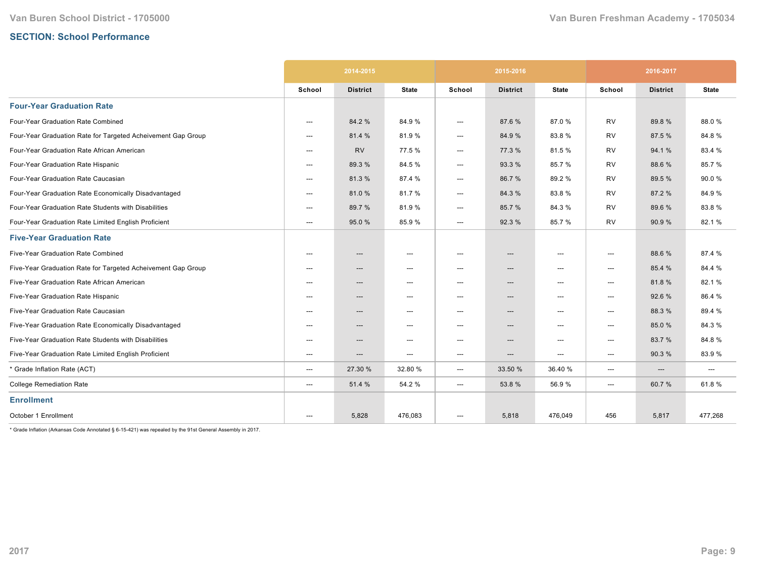# **SECTION: School Performance**

|                                                              | 2014-2015 |                 |                                   |                          | 2015-2016                         |                                     | 2016-2017 |                 |              |
|--------------------------------------------------------------|-----------|-----------------|-----------------------------------|--------------------------|-----------------------------------|-------------------------------------|-----------|-----------------|--------------|
|                                                              | School    | <b>District</b> | <b>State</b>                      | School                   | <b>District</b>                   | <b>State</b>                        | School    | <b>District</b> | <b>State</b> |
| <b>Four-Year Graduation Rate</b>                             |           |                 |                                   |                          |                                   |                                     |           |                 |              |
| Four-Year Graduation Rate Combined                           | ---       | 84.2 %          | 84.9%                             | ---                      | 87.6%                             | 87.0%                               | <b>RV</b> | 89.8%           | 88.0%        |
| Four-Year Graduation Rate for Targeted Acheivement Gap Group | ---       | 81.4 %          | 81.9%                             | ---                      | 84.9%                             | 83.8%                               | <b>RV</b> | 87.5 %          | 84.8%        |
| Four-Year Graduation Rate African American                   | $---$     | <b>RV</b>       | 77.5 %                            | ---                      | 77.3 %                            | 81.5%                               | <b>RV</b> | 94.1%           | 83.4 %       |
| Four-Year Graduation Rate Hispanic                           | ---       | 89.3 %          | 84.5 %                            | ---                      | 93.3 %                            | 85.7%                               | <b>RV</b> | 88.6%           | 85.7%        |
| Four-Year Graduation Rate Caucasian                          | ---       | 81.3%           | 87.4 %                            | ---                      | 86.7%                             | 89.2%                               | <b>RV</b> | 89.5 %          | 90.0%        |
| Four-Year Graduation Rate Economically Disadvantaged         | ---       | 81.0%           | 81.7%                             | ---                      | 84.3%                             | 83.8%                               | <b>RV</b> | 87.2 %          | 84.9%        |
| Four-Year Graduation Rate Students with Disabilities         | $---$     | 89.7 %          | 81.9%                             | ---                      | 85.7 %                            | 84.3%                               | <b>RV</b> | 89.6 %          | 83.8%        |
| Four-Year Graduation Rate Limited English Proficient         | ---       | 95.0 %          | 85.9%                             | ---                      | 92.3 %                            | 85.7%                               | <b>RV</b> | 90.9 %          | 82.1%        |
| <b>Five-Year Graduation Rate</b>                             |           |                 |                                   |                          |                                   |                                     |           |                 |              |
| Five-Year Graduation Rate Combined                           | ---       | $---$           | $---$                             | ---                      | $---$                             | $---$                               | $---$     | 88.6%           | 87.4 %       |
| Five-Year Graduation Rate for Targeted Acheivement Gap Group | $---$     | ---             | $\hspace{0.05cm} \ldots$          | ---                      | $\hspace{0.05cm} \ldots$          | $\hspace{0.05cm}---\hspace{0.05cm}$ | ---       | 85.4 %          | 84.4 %       |
| Five-Year Graduation Rate African American                   | $---$     | ---             | $\hspace{0.05cm} \dashrightarrow$ | ---                      | ---                               | ---                                 | ---       | 81.8%           | 82.1%        |
| Five-Year Graduation Rate Hispanic                           | ---       | ---             | $\hspace{0.05cm} \dashrightarrow$ | ---                      | $\hspace{0.05cm} \dashrightarrow$ | $---$                               | ---       | 92.6 %          | 86.4 %       |
| Five-Year Graduation Rate Caucasian                          | ---       | ---             | $\hspace{0.05cm} \ldots$          | ---                      | ---                               | $\hspace{0.05cm}---\hspace{0.05cm}$ | ---       | 88.3%           | 89.4%        |
| Five-Year Graduation Rate Economically Disadvantaged         | ---       | ---             | $\hspace{0.05cm} \ldots$          | $\hspace{0.05cm} \ldots$ | $\hspace{0.05cm} \dashrightarrow$ | $---$                               | ---       | 85.0%           | 84.3%        |
| Five-Year Graduation Rate Students with Disabilities         | $---$     | ---             | $\hspace{0.05cm} \cdots$          | ---                      | ---                               | ---                                 | ---       | 83.7%           | 84.8%        |
| Five-Year Graduation Rate Limited English Proficient         | $---$     | ---             | $\hspace{0.05cm} \ldots$          | ---                      | ---                               | ---                                 | ---       | 90.3%           | 83.9%        |
| * Grade Inflation Rate (ACT)                                 | ---       | 27.30 %         | 32.80 %                           | ---                      | 33.50 %                           | 36.40%                              | ---       | ---             | ---          |
| <b>College Remediation Rate</b>                              | ---       | 51.4 %          | 54.2 %                            | ---                      | 53.8%                             | 56.9%                               | ---       | 60.7%           | 61.8%        |
| <b>Enrollment</b>                                            |           |                 |                                   |                          |                                   |                                     |           |                 |              |
| October 1 Enrollment                                         | $---$     | 5,828           | 476,083                           | ---                      | 5,818                             | 476,049                             | 456       | 5,817           | 477,268      |

 $*$  Grade Inflation (Arkansas Code Annotated § 6-15-421) was repealed by the 91st General Assembly in 2017.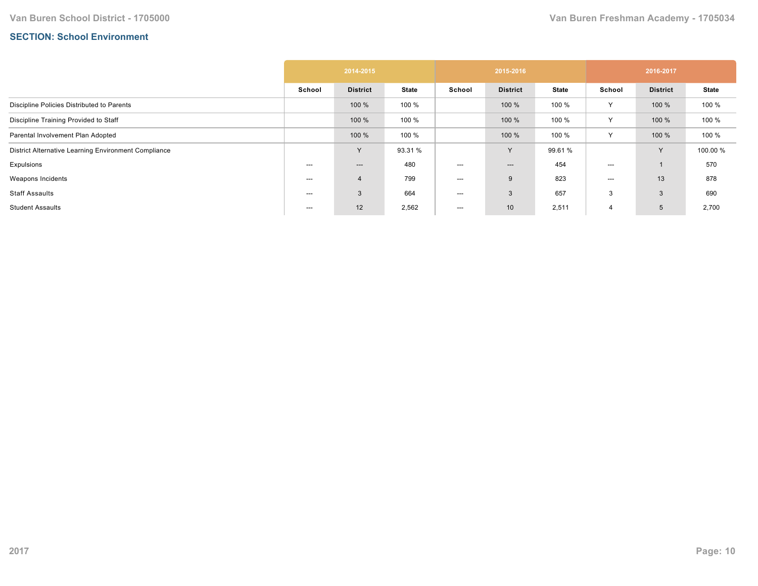# **SECTION: School Environment**

|                                                      | 2014-2015 |                 |              |        | 2015-2016       |              | 2016-2017 |                 |              |  |
|------------------------------------------------------|-----------|-----------------|--------------|--------|-----------------|--------------|-----------|-----------------|--------------|--|
|                                                      | School    | <b>District</b> | <b>State</b> | School | <b>District</b> | <b>State</b> | School    | <b>District</b> | <b>State</b> |  |
| Discipline Policies Distributed to Parents           |           | 100 %           | 100 %        |        | 100 %           | 100 %        | Y         | 100 %           | 100 %        |  |
| Discipline Training Provided to Staff                |           | 100 %           | 100 %        |        | 100 %           | 100 %        | Y         | 100 %           | 100 %        |  |
| Parental Involvement Plan Adopted                    |           | 100 %           | 100 %        |        | 100 %           | 100 %        | Υ         | 100 %           | 100 %        |  |
| District Alternative Learning Environment Compliance |           | $\vee$          | 93.31 %      |        | Y               | 99.61 %      |           | $\vee$          | 100.00 %     |  |
| Expulsions                                           | ---       | ---             | 480          | ---    | $---$           | 454          | $---$     |                 | 570          |  |
| Weapons Incidents                                    | ---       | 4               | 799          | ---    | 9               | 823          | $---$     | 13              | 878          |  |
| Staff Assaults                                       | ---       | 3               | 664          | ---    | 3               | 657          | 3         | 3               | 690          |  |
| <b>Student Assaults</b>                              | ---       | 12              | 2,562        | ---    | 10 <sup>°</sup> | 2,511        | 4         | 5               | 2,700        |  |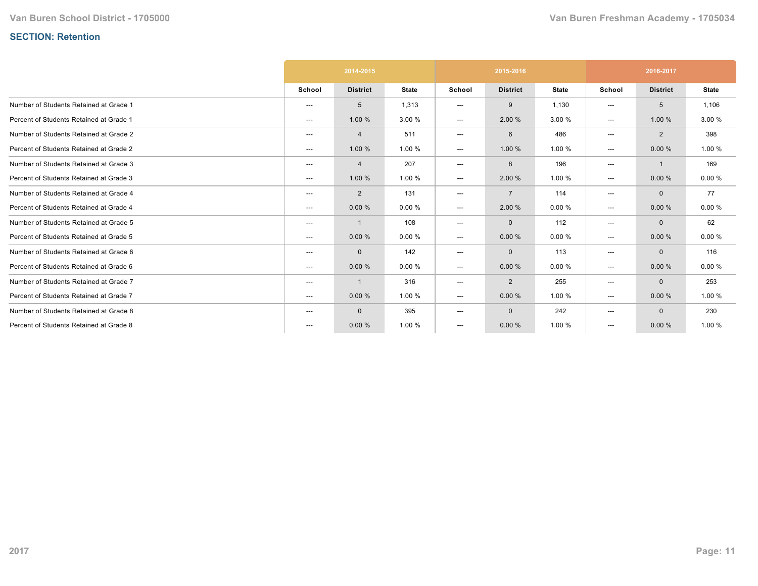# **SECTION: Retention**

|                                         | 2014-2015 |                 |              |        | 2015-2016       |              | 2016-2017 |                 |              |  |
|-----------------------------------------|-----------|-----------------|--------------|--------|-----------------|--------------|-----------|-----------------|--------------|--|
|                                         | School    | <b>District</b> | <b>State</b> | School | <b>District</b> | <b>State</b> | School    | <b>District</b> | <b>State</b> |  |
| Number of Students Retained at Grade 1  | ---       | 5               | 1,313        | ---    | 9               | 1,130        | ---       | 5               | 1,106        |  |
| Percent of Students Retained at Grade 1 | ---       | 1.00%           | 3.00 %       | ---    | 2.00 %          | 3.00 %       | ---       | 1.00 %          | 3.00 %       |  |
| Number of Students Retained at Grade 2  | ---       | $\overline{4}$  | 511          | ---    | 6               | 486          | ---       | 2               | 398          |  |
| Percent of Students Retained at Grade 2 | ---       | 1.00 %          | 1.00 %       | ---    | 1.00 %          | 1.00 %       | ---       | 0.00%           | 1.00 %       |  |
| Number of Students Retained at Grade 3  | ---       | 4               | 207          | ---    | 8               | 196          | ---       | -1              | 169          |  |
| Percent of Students Retained at Grade 3 | ---       | 1.00 %          | 1.00 %       | ---    | 2.00 %          | 1.00 %       | ---       | 0.00%           | 0.00%        |  |
| Number of Students Retained at Grade 4  | ---       | $\overline{2}$  | 131          | ---    | $\overline{7}$  | 114          | ---       | $\mathbf{0}$    | 77           |  |
| Percent of Students Retained at Grade 4 | ---       | 0.00%           | 0.00%        | ---    | 2.00 %          | 0.00%        | ---       | 0.00%           | 0.00%        |  |
| Number of Students Retained at Grade 5  | ---       | -1              | 108          | ---    | $\mathbf 0$     | 112          | ---       | $\mathbf 0$     | 62           |  |
| Percent of Students Retained at Grade 5 | ---       | 0.00%           | 0.00%        | ---    | 0.00%           | 0.00%        | ---       | 0.00%           | 0.00%        |  |
| Number of Students Retained at Grade 6  | ---       | $\mathbf 0$     | 142          | ---    | $\mathbf 0$     | 113          | ---       | $\mathbf 0$     | 116          |  |
| Percent of Students Retained at Grade 6 | ---       | 0.00%           | 0.00%        | ---    | 0.00%           | 0.00%        | ---       | 0.00%           | 0.00%        |  |
| Number of Students Retained at Grade 7  | ---       | -1              | 316          | ---    | $\overline{2}$  | 255          | ---       | $\mathbf{0}$    | 253          |  |
| Percent of Students Retained at Grade 7 | ---       | 0.00%           | 1.00 %       | ---    | 0.00%           | 1.00 %       | ---       | 0.00%           | 1.00 %       |  |
| Number of Students Retained at Grade 8  | ---       | $\mathbf{0}$    | 395          | ---    | $\mathbf 0$     | 242          | ---       | $\mathbf{0}$    | 230          |  |
| Percent of Students Retained at Grade 8 | $---$     | 0.00%           | 1.00 %       | ---    | 0.00%           | 1.00 %       | ---       | 0.00%           | 1.00 %       |  |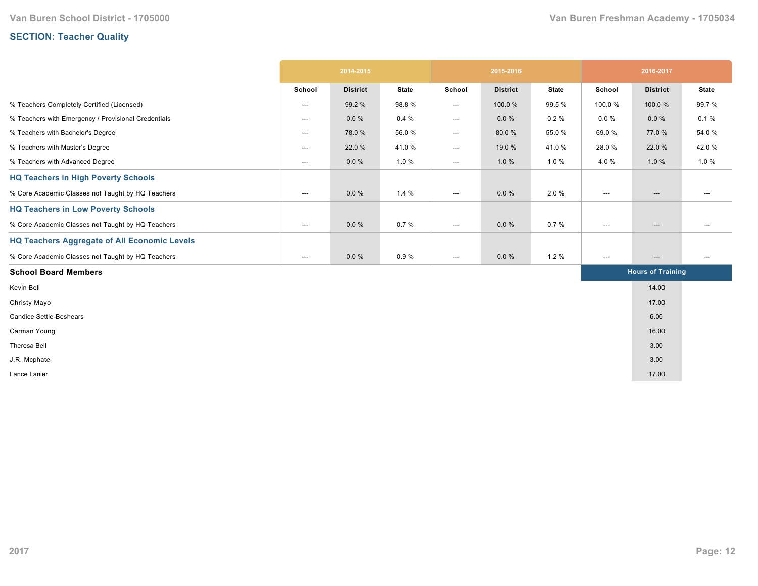# **SECTION: Teacher Quality**

|                                                     | 2014-2015                         |                 |              | 2015-2016                                |                 |                          | 2016-2017                         |                          |              |
|-----------------------------------------------------|-----------------------------------|-----------------|--------------|------------------------------------------|-----------------|--------------------------|-----------------------------------|--------------------------|--------------|
|                                                     | School                            | <b>District</b> | <b>State</b> | School                                   | <b>District</b> | <b>State</b>             | School                            | <b>District</b>          | <b>State</b> |
| % Teachers Completely Certified (Licensed)          | $\hspace{0.05cm} \cdots$          | 99.2 %          | 98.8%        | ---                                      | 100.0 %         | 99.5 %                   | 100.0%                            | 100.0%                   | 99.7%        |
| % Teachers with Emergency / Provisional Credentials | $\hspace{0.05cm} \cdots$          | $0.0 \%$        | 0.4%         | ---                                      | $0.0 \%$        | $0.2 \%$                 | $0.0 \%$                          | $0.0 \%$                 | 0.1%         |
| % Teachers with Bachelor's Degree                   | $\hspace{0.05cm} \dashrightarrow$ | 78.0%           | 56.0%        | ---                                      | 80.0%           | 55.0%                    | 69.0%                             | 77.0%                    | 54.0 %       |
| % Teachers with Master's Degree                     | $\hspace{0.05cm} \ldots$          | 22.0 %          | 41.0%        | ---                                      | 19.0 %          | 41.0%                    | 28.0%                             | 22.0 %                   | 42.0%        |
| % Teachers with Advanced Degree                     | $\hspace{0.05cm} \ldots$          | $0.0 \%$        | 1.0%         | ---                                      | 1.0%            | 1.0%                     | 4.0%                              | 1.0%                     | 1.0%         |
| <b>HQ Teachers in High Poverty Schools</b>          |                                   |                 |              |                                          |                 |                          |                                   |                          |              |
| % Core Academic Classes not Taught by HQ Teachers   | $\hspace{0.05cm} \cdots$          | $0.0 \%$        | 1.4%         | $\hspace{0.05cm} \ldots \hspace{0.05cm}$ | $0.0 \%$        | 2.0%                     | $\hspace{0.05cm} \ldots$          | $\hspace{0.05cm} \ldots$ | $---$        |
| <b>HQ Teachers in Low Poverty Schools</b>           |                                   |                 |              |                                          |                 |                          |                                   |                          |              |
| % Core Academic Classes not Taught by HQ Teachers   | $\hspace{0.05cm} \ldots$          | $0.0 \%$        | 0.7%         | ---                                      | $0.0 \%$        | 0.7%                     | $\hspace{0.05cm} \ldots$          | $\hspace{0.05cm} \ldots$ | ---          |
| <b>HQ Teachers Aggregate of All Economic Levels</b> |                                   |                 |              |                                          |                 |                          |                                   |                          |              |
| % Core Academic Classes not Taught by HQ Teachers   | $\hspace{0.05cm} \dashrightarrow$ | $0.0 \%$        | 0.9%         | ---                                      | $0.0 \%$        | 1.2%                     | $\hspace{0.05cm} \dashrightarrow$ | $\hspace{0.05cm} \ldots$ | ---          |
| <b>School Board Members</b>                         |                                   |                 |              |                                          |                 | <b>Hours of Training</b> |                                   |                          |              |
| Kevin Bell                                          |                                   |                 |              |                                          |                 |                          |                                   | 14.00                    |              |
| Christy Mayo                                        |                                   |                 |              |                                          |                 |                          |                                   | 17.00                    |              |
| <b>Candice Settle-Beshears</b>                      |                                   |                 |              |                                          |                 |                          |                                   | 6.00                     |              |
| Carman Young                                        |                                   |                 |              |                                          |                 |                          |                                   | 16.00                    |              |
| Theresa Bell                                        |                                   |                 |              |                                          |                 |                          |                                   | 3.00                     |              |
| J.R. Mcphate                                        |                                   |                 |              |                                          |                 |                          |                                   | 3.00                     |              |
| Lance Lanier                                        |                                   |                 |              |                                          |                 |                          |                                   | 17.00                    |              |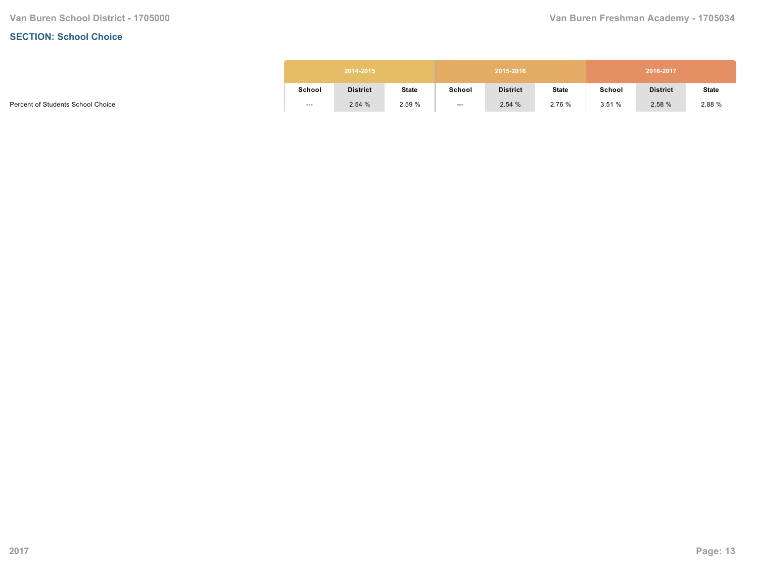#### **SECTION: School Choice**

| 2014-2015 |                 |              |        | 2015-2016       |              | 2016-2017 |                 |              |  |  |
|-----------|-----------------|--------------|--------|-----------------|--------------|-----------|-----------------|--------------|--|--|
| School    | <b>District</b> | <b>State</b> | School | <b>District</b> | <b>State</b> | School    | <b>District</b> | <b>State</b> |  |  |
| ---       | 2.54%           | 2.59 %       | $---$  | 2.54%           | 2.76 %       | 3.51%     | 2.58 %          | 2.88 %       |  |  |

Percent of Students School Choice